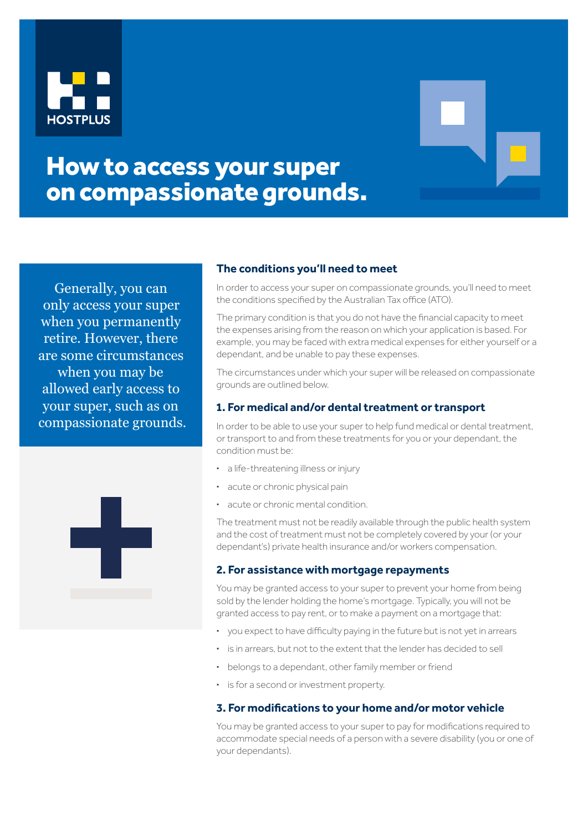



# How to access your super on compassionate grounds.

Generally, you can only access your super when you permanently retire. However, there are some circumstances when you may be allowed early access to your super, such as on compassionate grounds.



## **The conditions you'll need to meet**

In order to access your super on compassionate grounds, you'll need to meet the conditions specified by the Australian Tax office (ATO).

The primary condition is that you do not have the financial capacity to meet the expenses arising from the reason on which your application is based. For example, you may be faced with extra medical expenses for either yourself or a dependant, and be unable to pay these expenses.

The circumstances under which your super will be released on compassionate grounds are outlined below.

### **1. For medical and/or dental treatment or transport**

In order to be able to use your super to help fund medical or dental treatment, or transport to and from these treatments for you or your dependant, the condition must be:

- **·** a life-threatening illness or injury
- **·** acute or chronic physical pain
- **·** acute or chronic mental condition.

The treatment must not be readily available through the public health system and the cost of treatment must not be completely covered by your (or your dependant's) private health insurance and/or workers compensation.

### **2. For assistance with mortgage repayments**

You may be granted access to your super to prevent your home from being sold by the lender holding the home's mortgage. Typically, you will not be granted access to pay rent, or to make a payment on a mortgage that:

- **·** you expect to have difficulty paying in the future but is not yet in arrears
- **·** is in arrears, but not to the extent that the lender has decided to sell
- **·** belongs to a dependant, other family member or friend
- **·** is for a second or investment property.

### **3. For modifications to your home and/or motor vehicle**

You may be granted access to your super to pay for modifications required to accommodate special needs of a person with a severe disability (you or one of your dependants).